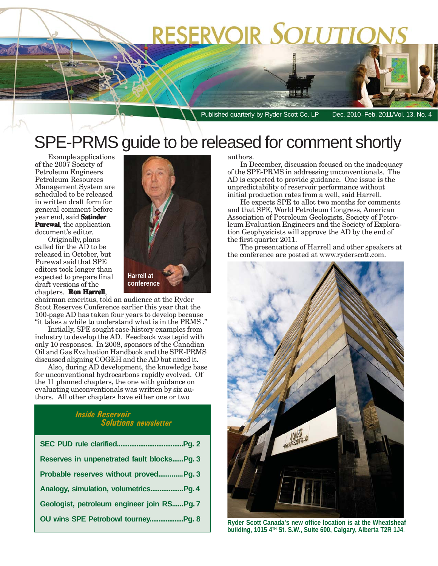# RESERVOIR SOLUTIONS

Published quarterly by Ryder Scott Co. LP Dec. 2010–Feb. 2011/Vol. 13, No. 4

## SPE-PRMS guide to be released for comment shortly

Example applications of the 2007 Society of Petroleum Engineers Petroleum Resources Management System are scheduled to be released in written draft form for general comment before year end, said **Satinder Purewal Purewal**, the application document's editor.

Originally, plans called for the AD to be released in October, but Purewal said that SPE editors took longer than expected to prepare final draft versions of the chapters. **Ron Harrell** ,



chairman emeritus, told an audience at the Ryder Scott Reserves Conference earlier this year that the 100-page AD has taken four years to develop because "it takes a while to understand what is in the PRMS ."

Initially, SPE sought case-history examples from industry to develop the AD. Feedback was tepid with only 10 responses. In 2008, sponsors of the Canadian Oil and Gas Evaluation Handbook and the SPE-PRMS discussed aligning COGEH and the AD but nixed it.

Also, during AD development, the knowledge base for unconventional hydrocarbons rapidly evolved. Of the 11 planned chapters, the one with guidance on evaluating unconventionals was written by six authors. All other chapters have either one or two

#### *Inside Reservoir Solutions newsletter*

| Reserves in unpenetrated fault blocksPg. 3 |
|--------------------------------------------|
| Probable reserves without proved Pg. 3     |
| Analogy, simulation, volumetricsPg. 4      |
| Geologist, petroleum engineer join RSPg. 7 |
|                                            |

#### authors.

In December, discussion focused on the inadequacy of the SPE-PRMS in addressing unconventionals. The AD is expected to provide guidance. One issue is the unpredictability of reservoir performance without initial production rates from a well, said Harrell.

He expects SPE to allot two months for comments and that SPE, World Petroleum Congress, American Association of Petroleum Geologists, Society of Petroleum Evaluation Engineers and the Society of Exploration Geophysicists will approve the AD by the end of the first quarter 2011.

The presentations of Harrell and other speakers at the conference are posted at www.ryderscott.com.



**Ryder Scott Canada's new office location is at the Wheatsheaf building, 1015 4TH St. S.W., Suite 600, Calgary, Alberta T2R 1J4**.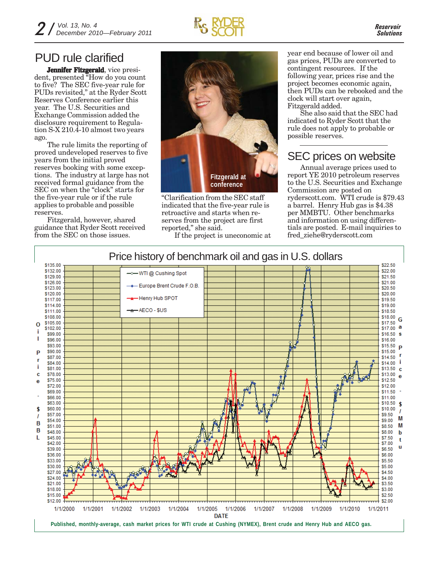### PUD rule clarified

**Jennifer Fitzgerald**, vice president, presented "How do you count to five? The SEC five-year rule for PUDs revisited," at the Ryder Scott Reserves Conference earlier this year. The U.S. Securities and Exchange Commission added the disclosure requirement to Regulation S-X 210.4-10 almost two years ago.

The rule limits the reporting of proved undeveloped reserves to five years from the initial proved reserves booking with some exceptions. The industry at large has not received formal guidance from the SEC on when the "clock" starts for the five-year rule or if the rule applies to probable and possible reserves.

Fitzgerald, however, shared guidance that Ryder Scott received from the SEC on those issues.



"Clarification from the SEC staff indicated that the five-year rule is retroactive and starts when reserves from the project are first reported," she said.

If the project is uneconomic at

year end because of lower oil and gas prices, PUDs are converted to contingent resources. If the following year, prices rise and the project becomes economic again, then PUDs can be rebooked and the clock will start over again, Fitzgerald added.

She also said that the SEC had indicated to Ryder Scott that the rule does not apply to probable or possible reserves.

### SEC prices on website

Annual average prices used to report YE 2010 petroleum reserves to the U.S. Securities and Exchange Commission are posted on ryderscott.com. WTI crude is \$79.43 a barrel. Henry Hub gas is \$4.38 per MMBTU. Other benchmarks and information on using differentials are posted. E-mail inquiries to fred\_ziehe@ryderscott.com

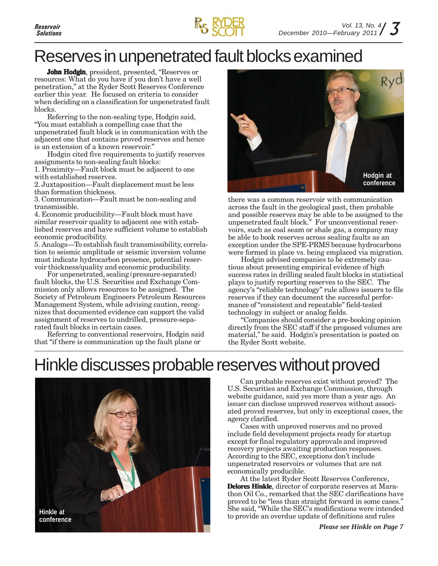## Reserves in unpenetrated fault blocks examined

**John Hodgin**, president, presented, "Reserves or resources: What do you have if you don't have a well penetration," at the Ryder Scott Reserves Conference earlier this year. He focused on criteria to consider when deciding on a classification for unpenetrated fault blocks.

Referring to the non-sealing type, Hodgin said, "You must establish a compelling case that the unpenetrated fault block is in communication with the adjacent one that contains proved reserves and hence is an extension of a known reservoir."

Hodgin cited five requirements to justify reserves assignments to non-sealing fault blocks:

1. Proximity—Fault block must be adjacent to one with established reserves.

2. Juxtaposition—Fault displacement must be less than formation thickness.

3. Communication—Fault must be non-sealing and transmissible.

4. Economic producibility—Fault block must have similar reservoir quality to adjacent one with established reserves and have sufficient volume to establish economic producibility.

5. Analogs—To establish fault transmissibility, correlation to seismic amplitude or seismic inversion volume must indicate hydrocarbon presence, potential reservoir thickness/quality and economic producibility.

For unpenetrated, sealing (pressure-separated) fault blocks, the U.S. Securities and Exchange Commission only allows resources to be assigned. The Society of Petroleum Engineers Petroleum Resources Management System, while advising caution, recognizes that documented evidence can support the valid assignment of reserves to undrilled, pressure-separated fault blocks in certain cases.

Referring to conventional reservoirs, Hodgin said that "if there is communication up the fault plane or



there was a common reservoir with communication across the fault in the geological past, then probable and possible reserves may be able to be assigned to the unpenetrated fault block." For unconventional reservoirs, such as coal seam or shale gas, a company may be able to book reserves across sealing faults as an exception under the SPE-PRMS because hydrocarbons were formed in place vs. being emplaced via migration.

Hodgin advised companies to be extremely cautious about presenting empirical evidence of high success rates in drilling sealed fault blocks in statistical plays to justify reporting reserves to the SEC. The agency's "reliable technology" rule allows issuers to file reserves if they can document the successful performance of "consistent and repeatable" field-tested technology in subject or analog fields.

"Companies should consider a pre-booking opinion directly from the SEC staff if the proposed volumes are material," he said. Hodgin's presentation is posted on the Ryder Scott website.

## Hinkle discusses probable reserves without proved



Can probable reserves exist without proved? The U.S. Securities and Exchange Commission, through website guidance, said yes more than a year ago. An issuer can disclose unproved reserves without associated proved reserves, but only in exceptional cases, the agency clarified.

Cases with unproved reserves and no proved include field development projects ready for startup except for final regulatory approvals and improved recovery projects awaiting production responses. According to the SEC, exceptions don't include unpenetrated reservoirs or volumes that are not economically producible.

At the latest Ryder Scott Reserves Conference, **Delores Hinkle**, director of corporate reserves at Marathon Oil Co., remarked that the SEC clarifications have proved to be "less than straight forward in some cases." She said, "While the SEC's modifications were intended to provide an overdue update of definitions and rules

*Please see Hinkle on Page 7*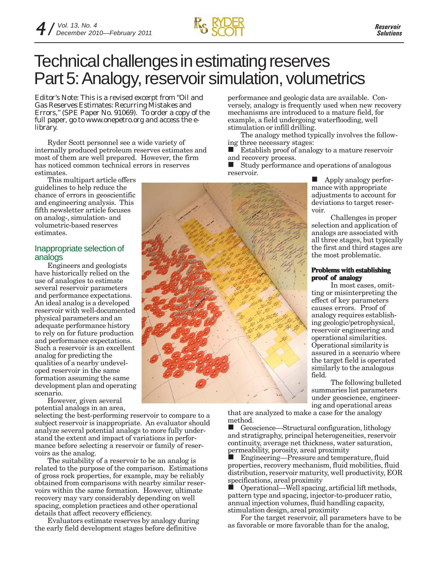

### Technical challenges in estimating reserves Part 5: Analogy, reservoir simulation, volumetrics

*Editor's Note: This is a revised excerpt from "Oil and Gas Reserves Estimates: Recurring Mistakes and Errors," (SPE Paper No. 91069). To order a copy of the full paper, go to www.onepetro.org and access the elibrary.*

Ryder Scott personnel see a wide variety of internally produced petroleum reserves estimates and most of them are well prepared. However, the firm has noticed common technical errors in reserves estimates.

This multipart article offers guidelines to help reduce the chance of errors in geoscientific and engineering analysis. This fifth newsletter article focuses on analog-, simulation- and volumetric-based reserves estimates.

#### Inappropriate selection of analogs

Engineers and geologists have historically relied on the use of analogies to estimate several reservoir parameters and performance expectations. An ideal analog is a developed reservoir with well-documented physical parameters and an adequate performance history to rely on for future production and performance expectations. Such a reservoir is an excellent analog for predicting the qualities of a nearby undeveloped reservoir in the same formation assuming the same development plan and operating scenario.

However, given several potential analogs in an area,

selecting the best-performing reservoir to compare to a subject reservoir is inappropriate. An evaluator should analyze several potential analogs to more fully understand the extent and impact of variations in performance before selecting a reservoir or family of reservoirs as the analog.

The suitability of a reservoir to be an analog is related to the purpose of the comparison. Estimations of gross rock properties, for example, may be reliably obtained from comparisons with nearby similar reservoirs within the same formation. However, ultimate recovery may vary considerably depending on well spacing, completion practices and other operational details that affect recovery efficiency.

Evaluators estimate reserves by analogy during the early field development stages before definitive

performance and geologic data are available. Conversely, analogy is frequently used when new recovery mechanisms are introduced to a mature field, for example, a field undergoing waterflooding, well stimulation or infill drilling.

The analogy method typically involves the following three necessary stages:

 Establish proof of analogy to a mature reservoir and recovery process.

■ Study performance and operations of analogous reservoir.

**Apply analogy perfor**mance with appropriate adjustments to account for deviations to target reservoir.

Challenges in proper selection and application of analogs are associated with all three stages, but typically the first and third stages are the most problematic.

#### **Problems with establishing proof of analogy**

In most cases, omitting or misinterpreting the effect of key parameters causes errors. Proof of analogy requires establishing geologic/petrophysical, reservoir engineering and operational similarities. Operational similarity is assured in a scenario where the target field is operated similarly to the analogous field.

The following bulleted summaries list parameters under geoscience, engineering and operational areas

that are analyzed to make a case for the analogy method.

■ Geoscience—Structural configuration, lithology and stratigraphy, principal heterogeneities, reservoir continuity, average net thickness, water saturation, permeability, porosity, areal proximity

 Engineering—Pressure and temperature, fluid properties, recovery mechanism, fluid mobilities, fluid distribution, reservoir maturity, well productivity, EOR specifications, areal proximity

 Operational—Well spacing, artificial lift methods, pattern type and spacing, injector-to-producer ratio, annual injection volumes, fluid handling capacity, stimulation design, areal proximity

For the target reservoir, all parameters have to be as favorable or more favorable than for the analog,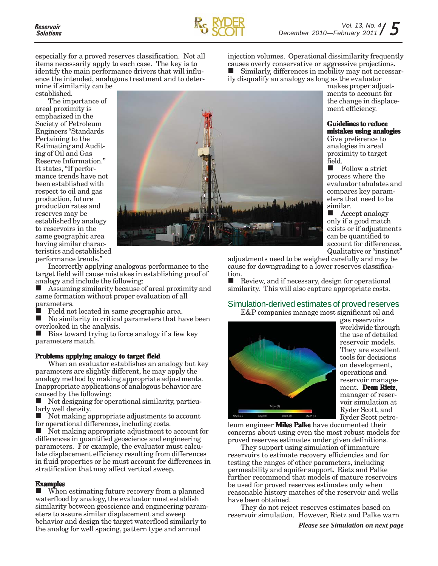

especially for a proved reserves classification. Not all items necessarily apply to each case. The key is to identify the main performance drivers that will influence the intended, analogous treatment and to deter-

mine if similarity can be established.

The importance of areal proximity is emphasized in the Society of Petroleum Engineers "Standards Pertaining to the Estimating and Auditing of Oil and Gas Reserve Information." It states, "If performance trends have not been established with respect to oil and gas production, future production rates and reserves may be established by analogy to reservoirs in the same geographic area having similar characteristics and established performance trends."



Incorrectly applying analogous performance to the target field will cause mistakes in establishing proof of analogy and include the following:

 Assuming similarity because of areal proximity and same formation without proper evaluation of all parameters.

Field not located in same geographic area.

 $\blacksquare$  No similarity in critical parameters that have been overlooked in the analysis.

 Bias toward trying to force analogy if a few key parameters match.

#### **Problems applying analogy to target field**

When an evaluator establishes an analogy but key parameters are slightly different, he may apply the analogy method by making appropriate adjustments. Inappropriate applications of analogous behavior are caused by the following:

 $\blacksquare$  Not designing for operational similarity, particularly well density.

 $\blacksquare$  Not making appropriate adjustments to account for operational differences, including costs.

■ Not making appropriate adjustment to account for differences in quantified geoscience and engineering parameters. For example, the evaluator must calculate displacement efficiency resulting from differences in fluid properties or he must account for differences in stratification that may affect vertical sweep.

#### **Examples**

 $\blacksquare$  When estimating future recovery from a planned waterflood by analogy, the evaluator must establish similarity between geoscience and engineering parameters to assure similar displacement and sweep behavior and design the target waterflood similarly to the analog for well spacing, pattern type and annual

injection volumes. Operational dissimilarity frequently causes overly conservative or aggressive projections. Similarly, differences in mobility may not necessarily disqualify an analogy as long as the evaluator

> makes proper adjustments to account for the change in displacement efficiency.

#### **Guidelines to reduce mistakes using analogies**

Give preference to analogies in areal proximity to target field.

Follow a strict process where the evaluator tabulates and compares key parameters that need to be similar.

Accept analogy only if a good match exists or if adjustments can be quantified to account for differences. Qualitative or "instinct"

adjustments need to be weighed carefully and may be cause for downgrading to a lower reserves classification.

Review, and if necessary, design for operational similarity. This will also capture appropriate costs.

#### Simulation-derived estimates of proved reserves

E&P companies manage most significant oil and



gas reservoirs worldwide through the use of detailed reservoir models. They are excellent tools for decisions on development, operations and reservoir management. **Dean Rietz**, manager of reservoir simulation at Ryder Scott, and Ryder Scott petro-

leum engineer **Miles Palke** have documented their concerns about using even the most robust models for proved reserves estimates under given definitions.

They support using simulation of immature reservoirs to estimate recovery efficiencies and for testing the ranges of other parameters, including permeability and aquifer support. Rietz and Palke further recommend that models of mature reservoirs be used for proved reserves estimates only when reasonable history matches of the reservoir and wells have been obtained.

They do not reject reserves estimates based on reservoir simulation. However, Rietz and Palke warn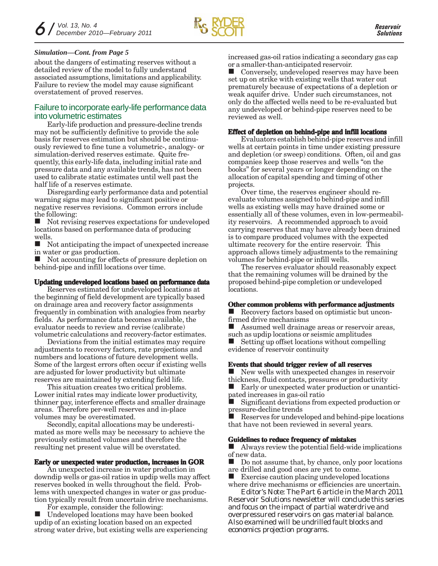#### *Simulation—Cont. from Page 5*

about the dangers of estimating reserves without a detailed review of the model to fully understand associated assumptions, limitations and applicability. Failure to review the model may cause significant overstatement of proved reserves.

#### Failure to incorporate early-life performance data into volumetric estimates

Early-life production and pressure-decline trends may not be sufficiently definitive to provide the sole basis for reserves estimation but should be continuously reviewed to fine tune a volumetric-, analogy- or simulation-derived reserves estimate. Quite frequently, this early-life data, including initial rate and pressure data and any available trends, has not been used to calibrate static estimates until well past the half life of a reserves estimate.

Disregarding early performance data and potential warning signs may lead to significant positive or negative reserves revisions. Common errors include the following:

 Not revising reserves expectations for undeveloped locations based on performance data of producing wells.

 Not anticipating the impact of unexpected increase in water or gas production.

 Not accounting for effects of pressure depletion on behind-pipe and infill locations over time.

#### **Updating undeveloped locations based on performance data**

Reserves estimated for undeveloped locations at the beginning of field development are typically based on drainage area and recovery factor assignments frequently in combination with analogies from nearby fields. As performance data becomes available, the evaluator needs to review and revise (calibrate) volumetric calculations and recovery-factor estimates.

Deviations from the initial estimates may require adjustments to recovery factors, rate projections and numbers and locations of future development wells. Some of the largest errors often occur if existing wells are adjusted for lower productivity but ultimate reserves are maintained by extending field life.

This situation creates two critical problems. Lower initial rates may indicate lower productivity, thinner pay, interference effects and smaller drainage areas. Therefore per-well reserves and in-place volumes may be overestimated.

Secondly, capital allocations may be underestimated as more wells may be necessary to achieve the previously estimated volumes and therefore the resulting net present value will be overstated.

#### **Early or unexpected water production, increases in GOR**

An unexpected increase in water production in downdip wells or gas-oil ratios in updip wells may affect reserves booked in wells throughout the field. Problems with unexpected changes in water or gas production typically result from uncertain drive mechanisms.

For example, consider the following:

 Undeveloped locations may have been booked updip of an existing location based on an expected strong water drive, but existing wells are experiencing increased gas-oil ratios indicating a secondary gas cap or a smaller-than-anticipated reservoir.

 Conversely, undeveloped reserves may have been set up on strike with existing wells that water out prematurely because of expectations of a depletion or weak aquifer drive. Under such circumstances, not only do the affected wells need to be re-evaluated but any undeveloped or behind-pipe reserves need to be reviewed as well.

#### **Effect of depletion on behind-pipe and infill locations**

Evaluators establish behind-pipe reserves and infill wells at certain points in time under existing pressure and depletion (or sweep) conditions. Often, oil and gas companies keep those reserves and wells "on the books" for several years or longer depending on the allocation of capital spending and timing of other projects.

Over time, the reserves engineer should reevaluate volumes assigned to behind-pipe and infill wells as existing wells may have drained some or essentially all of these volumes, even in low-permeability reservoirs. A recommended approach to avoid carrying reserves that may have already been drained is to compare produced volumes with the expected ultimate recovery for the entire reservoir. This approach allows timely adjustments to the remaining volumes for behind-pipe or infill wells.

The reserves evaluator should reasonably expect that the remaining volumes will be drained by the proposed behind-pipe completion or undeveloped locations.

#### **Other common problems with performance adjustments**

■ Recovery factors based on optimistic but unconfirmed drive mechanisms

 Assumed well drainage areas or reservoir areas, such as updip locations or seismic amplitudes Setting up offset locations without compelling evidence of reservoir continuity

#### **Events that should trigger review of all reserves**

New wells with unexpected changes in reservoir thickness, fluid contacts, pressures or productivity

 Early or unexpected water production or unanticipated increases in gas-oil ratio

 Significant deviations from expected production or pressure-decline trends

 Reserves for undeveloped and behind-pipe locations that have not been reviewed in several years.

#### **Guidelines to reduce frequency of mistakes**

 Always review the potential field-wide implications of new data.

 Do not assume that, by chance, only poor locations are drilled and good ones are yet to come.

 Exercise caution placing undeveloped locations where drive mechanisms or efficiencies are uncertain.

*Editor's Note: The Part 6 article in the March 2011 Reservoir Solutions newsletter will conclude this series and focus on the impact of partial waterdrive and overpressured reservoirs on gas material balance. Also examined will be undrilled fault blocks and economics projection programs.*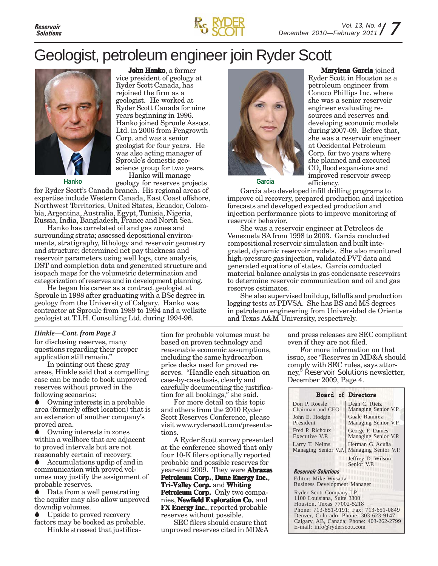

### Geologist, petroleum engineer join Ryder Scott

**John Hanko**, a former vice president of geology at Ryder Scott Canada, has rejoined the firm as a geologist. He worked at Ryder Scott Canada for nine years beginning in 1996.



Hanko joined Sproule Assocs. Ltd. in 2006 from Pengrowth Corp. and was a senior geologist for four years. He was also acting manager of Sproule's domestic geoscience group for two years. Hanko will manage

**Hanko**

geology for reserves projects for Ryder Scott's Canada branch. His regional areas of expertise include Western Canada, East Coast offshore, Northwest Territories, United States, Ecuador, Colombia, Argentina, Australia, Egypt, Tunisia, Nigeria, Russia, India, Bangladesh, France and North Sea.

Hanko has correlated oil and gas zones and surrounding strata; assessed depositional environments, stratigraphy, lithology and reservoir geometry and structure; determined net pay thickness and reservoir parameters using well logs, core analysis, DST and completion data and generated structure and isopach maps for the volumetric determination and categorization of reserves and in development planning.

He began his career as a contract geologist at Sproule in 1988 after graduating with a BSc degree in geology from the University of Calgary. Hanko was contractor at Sproule from 1989 to 1994 and a wellsite geologist at T.I.H. Consulting Ltd. during 1994-96.

#### *Hinkle—Cont. from Page 3*

for disclosing reserves, many questions regarding their proper application still remain."

In pointing out these gray areas, Hinkle said that a compelling case can be made to book unproved reserves without proved in the following scenarios:

 Owning interests in a probable area (formerly offset location) that is an extension of another company's proved area.

 Owning interests in zones within a wellbore that are adjacent to proved intervals but are not reasonably certain of recovery.

 Accumulations updip of and in communication with proved volumes may justify the assignment of probable reserves.

 Data from a well penetrating the aquifer may also allow unproved downdip volumes.

 Upside to proved recovery factors may be booked as probable.

Hinkle stressed that justifica-

tion for probable volumes must be based on proven technology and reasonable economic assumptions, including the same hydrocarbon price decks used for proved reserves. "Handle each situation on case-by-case basis, clearly and carefully documenting the justification for all bookings," she said.

For more detail on this topic and others from the 2010 Ryder Scott Reserves Conference, please visit www.ryderscott.com/presentations.

A Ryder Scott survey presented at the conference showed that only four 10-K filers optionally reported probable and possible reserves for year-end 2009. They were **Abraxas Petroleum Corp., Dune Energy Inc., Tri-Valley Corp. Corp.** and **Whiting** Petroleum Corp. Only two compa**nies, Newfield Exploration Co.** and **FX Energy Inc.**, reported probable reserves without possible.

SEC filers should ensure that unproved reserves cited in MD&A



**Marylena Garcia** joined Ryder Scott in Houston as a petroleum engineer from Conoco Phillips Inc. where she was a senior reservoir engineer evaluating resources and reserves and developing economic models during 2007-09. Before that, she was a reservoir engineer at Occidental Petroleum Corp. for two years where she planned and executed  $\mathrm{CO}_2$  flood expansions and improved reservoir sweep efficiency.

**Garcia**

Garcia also developed infill drilling programs to improve oil recovery, prepared production and injection forecasts and developed expected production and injection performance plots to improve monitoring of reservoir behavior.

She was a reservoir engineer at Petroleos de Venezuela SA from 1998 to 2003. Garcia conducted compositional reservoir simulation and built integrated, dynamic reservoir models. She also monitored high-pressure gas injection, validated PVT data and generated equations of states. Garcia conducted material balance analysis in gas condensate reservoirs to determine reservoir communication and oil and gas reserves estimates.

She also supervised buildup, falloffs and production logging tests at PDVSA. She has BS and MS degrees in petroleum engineering from Universidad de Oriente and Texas A&M University, respectively.

> and press releases are SEC compliant even if they are not filed.

> For more information on that issue, see "Reserves in MD&A should comply with SEC rules, says attorney," *Reservoir Solutions* newsletter, December 2009, Page 4.

| <b>Board of Directors</b>                                                                                                                                                                                                                       |  |
|-------------------------------------------------------------------------------------------------------------------------------------------------------------------------------------------------------------------------------------------------|--|
| Dean C. Rietz<br>Managing Senior V.P.                                                                                                                                                                                                           |  |
| Guale Ramirez<br>Managing Senior V.P.                                                                                                                                                                                                           |  |
| George F. Dames<br>Managing Senior V.P.                                                                                                                                                                                                         |  |
| Herman G. Acuña<br>Managing Senior V.P.<br>Managing Senior V.P.                                                                                                                                                                                 |  |
| Jeffrey D. Wilson<br>Senior V.P.                                                                                                                                                                                                                |  |
|                                                                                                                                                                                                                                                 |  |
| Editor: Mike Wysatta<br><b>Business Development Manager</b>                                                                                                                                                                                     |  |
| Ryder Scott Company LP<br>1100 Louisiana, Suite 3800<br>Houston, Texas 77002-5218<br>Phone: 713-651-9191; Fax: 713-651-0849<br>Denver, Colorado; Phone: 303-623-9147<br>Calgary, AB, Canada; Phone: 403-262-2799<br>E-mail: info@ryderscott.com |  |
|                                                                                                                                                                                                                                                 |  |